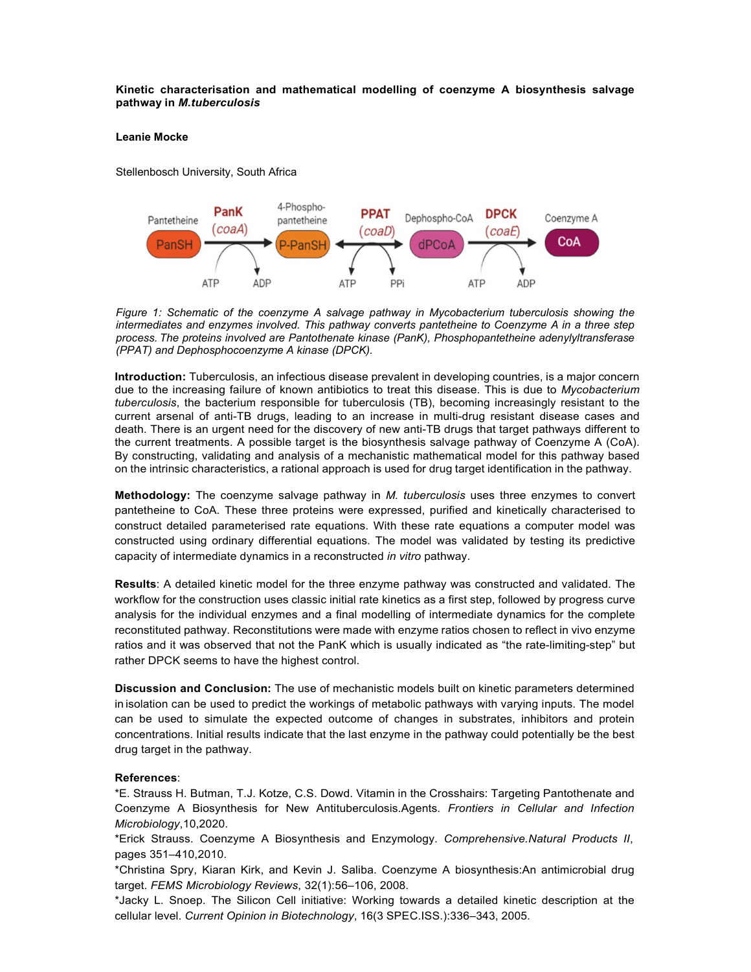## **Kinetic characterisation and mathematical modelling of coenzyme A biosynthesis salvage pathway in** *M.tuberculosis*

## **Leanie Mocke**

Stellenbosch University, South Africa



*Figure 1: Schematic of the coenzyme A salvage pathway in Mycobacterium tuberculosis showing the intermediates and enzymes involved. This pathway converts pantetheine to Coenzyme A in a three step process. The proteins involved are Pantothenate kinase (PanK), Phosphopantetheine adenylyltransferase (PPAT) and Dephosphocoenzyme A kinase (DPCK).*

**Introduction:** Tuberculosis, an infectious disease prevalent in developing countries, is a major concern due to the increasing failure of known antibiotics to treat this disease. This is due to *Mycobacterium tuberculosis*, the bacterium responsible for tuberculosis (TB), becoming increasingly resistant to the current arsenal of anti-TB drugs, leading to an increase in multi-drug resistant disease cases and death. There is an urgent need for the discovery of new anti-TB drugs that target pathways different to the current treatments. A possible target is the biosynthesis salvage pathway of Coenzyme A (CoA). By constructing, validating and analysis of a mechanistic mathematical model for this pathway based on the intrinsic characteristics, a rational approach is used for drug target identification in the pathway.

**Methodology:** The coenzyme salvage pathway in *M. tuberculosis* uses three enzymes to convert pantetheine to CoA. These three proteins were expressed, purified and kinetically characterised to construct detailed parameterised rate equations. With these rate equations a computer model was constructed using ordinary differential equations. The model was validated by testing its predictive capacity of intermediate dynamics in a reconstructed *in vitro* pathway.

**Results**: A detailed kinetic model for the three enzyme pathway was constructed and validated. The workflow for the construction uses classic initial rate kinetics as a first step, followed by progress curve analysis for the individual enzymes and a final modelling of intermediate dynamics for the complete reconstituted pathway. Reconstitutions were made with enzyme ratios chosen to reflect in vivo enzyme ratios and it was observed that not the PanK which is usually indicated as "the rate-limiting-step" but rather DPCK seems to have the highest control.

**Discussion and Conclusion:** The use of mechanistic models built on kinetic parameters determined in isolation can be used to predict the workings of metabolic pathways with varying inputs. The model can be used to simulate the expected outcome of changes in substrates, inhibitors and protein concentrations. Initial results indicate that the last enzyme in the pathway could potentially be the best drug target in the pathway.

## **References**:

\*E. Strauss H. Butman, T.J. Kotze, C.S. Dowd. Vitamin in the Crosshairs: Targeting Pantothenate and Coenzyme A Biosynthesis for New Antituberculosis.Agents. *Frontiers in Cellular and Infection Microbiology*,10,2020.

\*Erick Strauss. Coenzyme A Biosynthesis and Enzymology. *Comprehensive.Natural Products II*, pages 351–410,2010.

\*Christina Spry, Kiaran Kirk, and Kevin J. Saliba. Coenzyme A biosynthesis:An antimicrobial drug target. *FEMS Microbiology Reviews*, 32(1):56–106, 2008.

\*Jacky L. Snoep. The Silicon Cell initiative: Working towards a detailed kinetic description at the cellular level. *Current Opinion in Biotechnology*, 16(3 SPEC.ISS.):336–343, 2005.